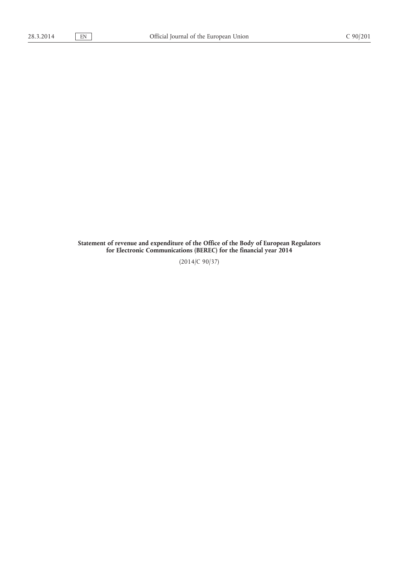**Statement of revenue and expenditure of the Office of the Body of European Regulators for Electronic Communications (BEREC) for the financial year 2014**

(2014/C 90/37)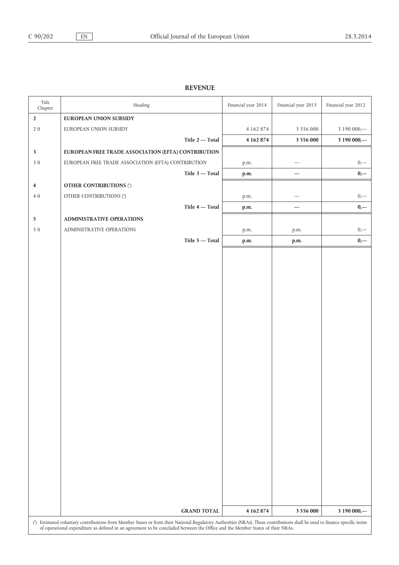## **REVENUE**

| Title<br>Chapter                                                                                                                                                                                                                                                                                            | Heading                                             | Financial year 2014 | Financial year 2013      | Financial year 2012 |
|-------------------------------------------------------------------------------------------------------------------------------------------------------------------------------------------------------------------------------------------------------------------------------------------------------------|-----------------------------------------------------|---------------------|--------------------------|---------------------|
| $\overline{2}$                                                                                                                                                                                                                                                                                              | EUROPEAN UNION SUBSIDY                              |                     |                          |                     |
| $2\ 0$                                                                                                                                                                                                                                                                                                      | EUROPEAN UNION SUBSIDY                              | 4 1 6 2 8 7 4       | 3 5 5 6 0 0 0            | 3 190 000,-         |
|                                                                                                                                                                                                                                                                                                             | Title $2$ - Total                                   | 4 162 874           | 3 556 000                | 3 190 000,-         |
| $\overline{\mathbf{3}}$                                                                                                                                                                                                                                                                                     | EUROPEAN FREE TRADE ASSOCIATION (EFTA) CONTRIBUTION |                     |                          |                     |
| $3\,0$                                                                                                                                                                                                                                                                                                      | EUROPEAN FREE TRADE ASSOCIATION (EFTA) CONTRIBUTION | p.m.                |                          | $0,$ —              |
|                                                                                                                                                                                                                                                                                                             | Title 3 - Total                                     | p.m.                |                          | $0,-$               |
| $\overline{\mathbf{4}}$                                                                                                                                                                                                                                                                                     | <b>OTHER CONTRIBUTIONS (*)</b>                      |                     |                          |                     |
| $4\ 0$                                                                                                                                                                                                                                                                                                      | OTHER CONTRIBUTIONS (*)                             | p.m.                |                          | $0,$ —              |
|                                                                                                                                                                                                                                                                                                             | Title 4 - Total                                     | p.m.                | $\overline{\phantom{0}}$ | $0,-$               |
| $5\overline{)}$                                                                                                                                                                                                                                                                                             | ADMINISTRATIVE OPERATIONS                           |                     |                          |                     |
| $5\,0$                                                                                                                                                                                                                                                                                                      | ADMINISTRATIVE OPERATIONS                           | p.m.                | p.m.                     | $0, -$              |
|                                                                                                                                                                                                                                                                                                             | Title $5 -$ Total                                   | p.m.                | p.m.                     | $0,-$               |
|                                                                                                                                                                                                                                                                                                             |                                                     |                     |                          |                     |
|                                                                                                                                                                                                                                                                                                             |                                                     |                     |                          |                     |
|                                                                                                                                                                                                                                                                                                             |                                                     |                     |                          |                     |
|                                                                                                                                                                                                                                                                                                             |                                                     |                     |                          |                     |
|                                                                                                                                                                                                                                                                                                             |                                                     |                     |                          |                     |
|                                                                                                                                                                                                                                                                                                             |                                                     |                     |                          |                     |
|                                                                                                                                                                                                                                                                                                             |                                                     |                     |                          |                     |
|                                                                                                                                                                                                                                                                                                             |                                                     |                     |                          |                     |
|                                                                                                                                                                                                                                                                                                             |                                                     |                     |                          |                     |
|                                                                                                                                                                                                                                                                                                             |                                                     |                     |                          |                     |
|                                                                                                                                                                                                                                                                                                             |                                                     |                     |                          |                     |
|                                                                                                                                                                                                                                                                                                             |                                                     |                     |                          |                     |
|                                                                                                                                                                                                                                                                                                             |                                                     |                     |                          |                     |
|                                                                                                                                                                                                                                                                                                             |                                                     |                     |                          |                     |
|                                                                                                                                                                                                                                                                                                             |                                                     |                     |                          |                     |
|                                                                                                                                                                                                                                                                                                             |                                                     |                     |                          |                     |
|                                                                                                                                                                                                                                                                                                             |                                                     |                     |                          |                     |
|                                                                                                                                                                                                                                                                                                             |                                                     |                     |                          |                     |
|                                                                                                                                                                                                                                                                                                             |                                                     |                     |                          |                     |
|                                                                                                                                                                                                                                                                                                             |                                                     |                     |                          |                     |
|                                                                                                                                                                                                                                                                                                             |                                                     |                     |                          |                     |
|                                                                                                                                                                                                                                                                                                             |                                                     |                     |                          |                     |
|                                                                                                                                                                                                                                                                                                             |                                                     |                     |                          |                     |
|                                                                                                                                                                                                                                                                                                             |                                                     |                     |                          |                     |
|                                                                                                                                                                                                                                                                                                             | <b>GRAND TOTAL</b>                                  | 4 162 874           | 3 5 5 6 0 0 0            | 3 190 000,-         |
| (*) Estimated voluntary contributions from Member States or from their National Regulatory Authorities (NRAs). These contributions shall be used to finance specific items<br>of operational expenditure as defined in an agreement to be concluded between the Office and the Member States of their NRAs. |                                                     |                     |                          |                     |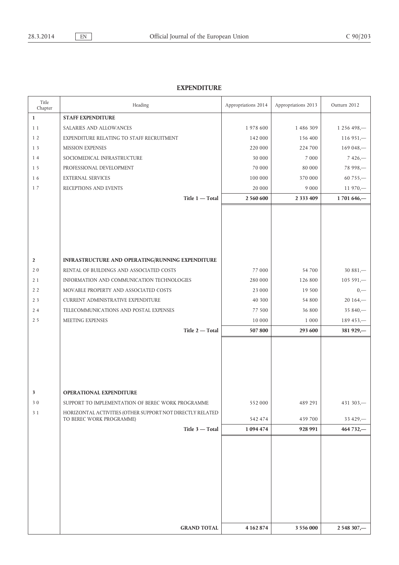## **EXPENDITURE**

| Title<br>Chapter | Heading                                                   | Appropriations 2014 | Appropriations 2013 | Outturn 2012 |
|------------------|-----------------------------------------------------------|---------------------|---------------------|--------------|
| $\mathbf{1}$     | <b>STAFF EXPENDITURE</b>                                  |                     |                     |              |
| 11               | SALARIES AND ALLOWANCES                                   | 1978 600            | 1 486 309           | 1 256 498,-  |
| 1 <sub>2</sub>   | EXPENDITURE RELATING TO STAFF RECRUITMENT                 | 142 000             | 156 400             | $116951-$    |
| 1 3              | MISSION EXPENSES                                          | 220 000             | 224 700             | 169 048,-    |
| 14               | SOCIOMEDICAL INFRASTRUCTURE                               | 30 000              | 7 0 0 0             | $7426 -$     |
| 15               | PROFESSIONAL DEVELOPMENT                                  | 70 000              | 80 000              | 78 998,-     |
| 16               | <b>EXTERNAL SERVICES</b>                                  | 100 000             | 370 000             | $60755 -$    |
| 17               | RECEPTIONS AND EVENTS                                     | 20 000              | 9 0 0 0             | $11970 -$    |
|                  | Title 1 - Total                                           | 2 560 600           | 2 3 3 4 4 0 9       | 1701646,-    |
|                  |                                                           |                     |                     |              |
|                  |                                                           |                     |                     |              |
|                  |                                                           |                     |                     |              |
|                  |                                                           |                     |                     |              |
|                  |                                                           |                     |                     |              |
| $\overline{2}$   | INFRASTRUCTURE AND OPERATING/RUNNING EXPENDITURE          |                     |                     |              |
| 20               | RENTAL OF BUILDINGS AND ASSOCIATED COSTS                  | 77 000              | 54 700              | $30881 -$    |
| 21               | INFORMATION AND COMMUNICATION TECHNOLOGIES                | 280 000             | 126 800             | $105591 -$   |
| 2 <sub>2</sub>   | MOVABLE PROPERTY AND ASSOCIATED COSTS                     | 23 000              | 19 500              | $0, -$       |
| 2 <sub>3</sub>   | CURRENT ADMINISTRATIVE EXPENDITURE                        | 40 300              | 54 800              | $20164 -$    |
| 24               | TELECOMMUNICATIONS AND POSTAL EXPENSES                    | 77 500              | 36 800              | 35 840,-     |
| 2 <sub>5</sub>   | MEETING EXPENSES                                          | 10 000              | 1 0 0 0             | $189453-$    |
|                  | Title 2-Total                                             | 507 800             | 293 600             | 381 929,-    |
|                  |                                                           |                     |                     |              |
|                  |                                                           |                     |                     |              |
|                  |                                                           |                     |                     |              |
|                  |                                                           |                     |                     |              |
|                  |                                                           |                     |                     |              |
| 3                | <b>OPERATIONAL EXPENDITURE</b>                            |                     |                     |              |
| 30               | SUPPORT TO IMPLEMENTATION OF BEREC WORK PROGRAMME         | 552 000             | 489 291             | 431 303,-    |
| 3 1              | HORIZONTAL ACTIVITIES (OTHER SUPPORT NOT DIRECTLY RELATED |                     |                     |              |
|                  | TO BEREC WORK PROGRAMME)                                  | 542 474             | 439 700             | 33 429,-     |
|                  | Title 3 - Total                                           | 1 094 474           | 928 991             | 464 732,-    |
|                  |                                                           |                     |                     |              |
|                  |                                                           |                     |                     |              |
|                  |                                                           |                     |                     |              |
|                  |                                                           |                     |                     |              |
|                  |                                                           |                     |                     |              |
|                  |                                                           |                     |                     |              |
|                  |                                                           |                     |                     |              |
|                  |                                                           |                     |                     |              |
|                  |                                                           |                     |                     |              |
|                  | <b>GRAND TOTAL</b>                                        | 4 162 874           | 3 5 5 6 0 0 0       | 2 548 307,-  |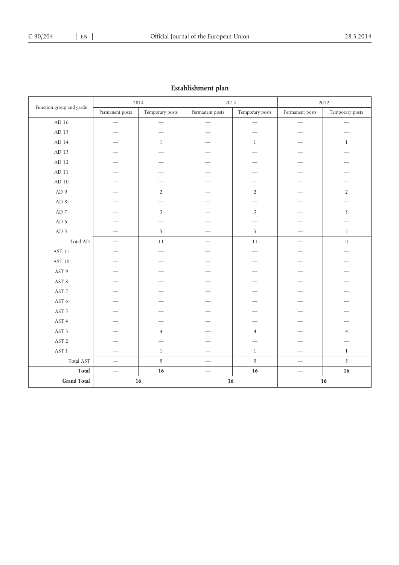| --------<br>---- г       |                                 |                         |                          |                                   |                                  |                          |
|--------------------------|---------------------------------|-------------------------|--------------------------|-----------------------------------|----------------------------------|--------------------------|
|                          | 2014                            |                         | 2013                     |                                   | 2012                             |                          |
| Function group and grade | Permanent posts                 | Temporary posts         | Permanent posts          | Temporary posts                   | Permanent posts                  | Temporary posts          |
| $\mbox{AD}$ 16           | $\overline{\phantom{0}}$        | $\qquad \qquad -$       | $\qquad \qquad$          | $\qquad \qquad -$                 | $\qquad \qquad$                  | $\qquad \qquad$          |
| ${\rm AD}$ 15            |                                 |                         |                          |                                   |                                  |                          |
| $AD$ 14                  |                                 | $\mathbf{1}$            |                          | $\mathbf{1}$                      |                                  | $\mathbf{1}$             |
| $\mbox{AD}$ 13           |                                 |                         |                          |                                   |                                  |                          |
| $AD$ 12                  |                                 |                         |                          |                                   |                                  |                          |
| $AD$ 11                  |                                 |                         |                          |                                   |                                  |                          |
| $\mbox{AD}$ 10           |                                 |                         |                          |                                   |                                  |                          |
| AD9                      |                                 | $\overline{2}$          |                          | $\sqrt{2}$                        |                                  | $\sqrt{2}$               |
| ${\rm AD}$ 8             |                                 |                         |                          |                                   |                                  |                          |
| $\mbox{AD}$ 7            |                                 | $\overline{\mathbf{3}}$ |                          | $\overline{\mathbf{3}}$           |                                  | $\overline{\mathbf{3}}$  |
| AD $6\,$                 |                                 |                         |                          |                                   |                                  |                          |
| AD 5                     |                                 | 5                       |                          | $\overline{5}$                    |                                  | $\overline{5}$           |
| Total AD                 | $\overline{\phantom{m}}$        | $11\,$                  |                          | $11\,$                            |                                  | $11\,$                   |
| $\operatorname{AST}11$   |                                 |                         |                          | $\overbrace{\phantom{123221111}}$ | $\overline{\phantom{0}}$         | $\overline{\phantom{0}}$ |
| AST 10                   |                                 |                         |                          |                                   |                                  |                          |
| AST 9                    |                                 |                         |                          |                                   |                                  |                          |
| AST 8                    |                                 |                         |                          |                                   |                                  |                          |
| AST 7                    |                                 |                         |                          |                                   |                                  |                          |
| AST 6                    |                                 |                         |                          |                                   |                                  |                          |
| AST 5                    |                                 |                         |                          |                                   |                                  |                          |
| AST 4                    |                                 |                         |                          |                                   |                                  |                          |
| AST 3                    |                                 | $\overline{4}$          |                          | $\overline{4}$                    |                                  | $\overline{4}$           |
| $\operatorname{AST}2$    |                                 |                         |                          |                                   |                                  |                          |
| $\operatorname{AST}$ 1   |                                 | $1\,$                   |                          | $\mathbf{1}$                      | $\overline{\phantom{0}}$         | $\,1\,$                  |
| Total AST                | $\overbrace{\phantom{1232211}}$ | $\overline{5}$          |                          | $\overline{5}$                    | $\overbrace{\phantom{12322111}}$ | $\overline{5}$           |
| Total                    | $\overline{\phantom{m}}$        | 16                      | $\overline{\phantom{m}}$ | $16\,$                            |                                  | $16\,$                   |
| <b>Grand Total</b>       | $16\,$                          |                         | 16                       |                                   |                                  | $16\,$                   |

## **Establishment plan**